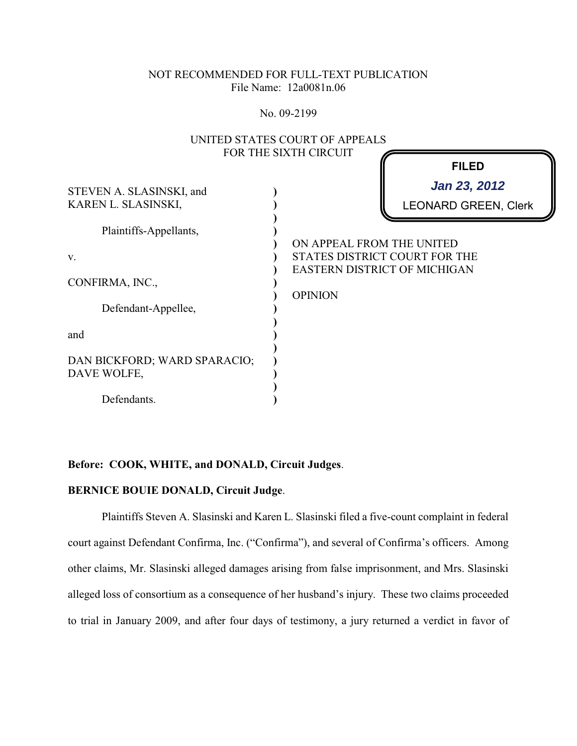## NOT RECOMMENDED FOR FULL-TEXT PUBLICATION File Name: 12a0081n.06

No. 09-2199

|                                                                                          | UNITED STATES COURT OF APPEALS              |                                                                      |
|------------------------------------------------------------------------------------------|---------------------------------------------|----------------------------------------------------------------------|
| STEVEN A. SLASINSKI, and<br>KAREN L. SLASINSKI,                                          | FOR THE SIXTH CIRCUIT                       | <b>FILED</b><br>Jan 23, 2012<br><b>LEONARD GREEN, Clerk</b>          |
| Plaintiffs-Appellants,<br>V.<br>CONFIRMA, INC.,                                          | ON APPEAL FROM THE UNITED<br><b>OPINION</b> | STATES DISTRICT COURT FOR THE<br><b>EASTERN DISTRICT OF MICHIGAN</b> |
| Defendant-Appellee,<br>and<br>DAN BICKFORD; WARD SPARACIO;<br>DAVE WOLFE,<br>Defendants. |                                             |                                                                      |

# UNITED STATES COURT OF APPEALS

# **Before: COOK, WHITE, and DONALD, Circuit Judges**.

# **BERNICE BOUIE DONALD, Circuit Judge**.

Plaintiffs Steven A. Slasinski and Karen L. Slasinski filed a five-count complaint in federal court against Defendant Confirma, Inc. ("Confirma"), and several of Confirma's officers. Among other claims, Mr. Slasinski alleged damages arising from false imprisonment, and Mrs. Slasinski alleged loss of consortium as a consequence of her husband's injury. These two claims proceeded to trial in January 2009, and after four days of testimony, a jury returned a verdict in favor of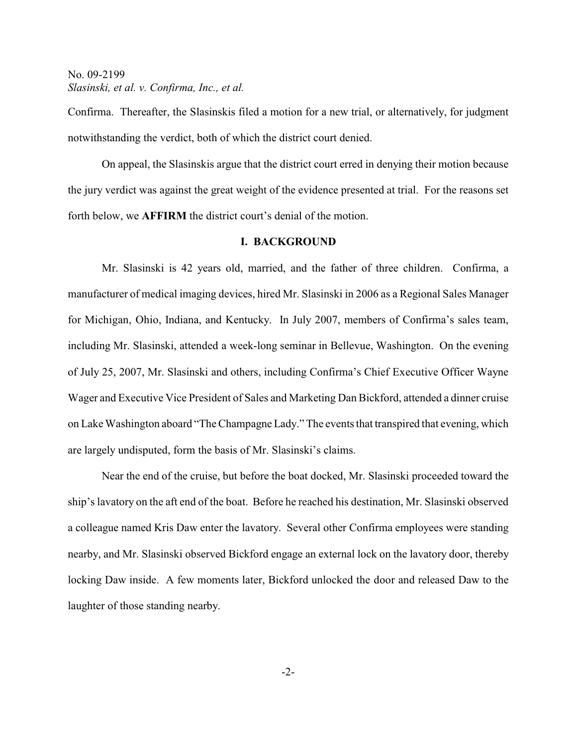Confirma. Thereafter, the Slasinskis filed a motion for a new trial, or alternatively, for judgment notwithstanding the verdict, both of which the district court denied.

On appeal, the Slasinskis argue that the district court erred in denying their motion because the jury verdict was against the great weight of the evidence presented at trial. For the reasons set forth below, we **AFFIRM** the district court's denial of the motion.

#### **I. BACKGROUND**

Mr. Slasinski is 42 years old, married, and the father of three children. Confirma, a manufacturer of medical imaging devices, hired Mr. Slasinski in 2006 as a Regional Sales Manager for Michigan, Ohio, Indiana, and Kentucky. In July 2007, members of Confirma's sales team, including Mr. Slasinski, attended a week-long seminar in Bellevue, Washington. On the evening of July 25, 2007, Mr. Slasinski and others, including Confirma's Chief Executive Officer Wayne Wager and Executive Vice President of Sales and Marketing Dan Bickford, attended a dinner cruise on Lake Washington aboard "TheChampagne Lady." The events that transpired that evening, which are largely undisputed, form the basis of Mr. Slasinski's claims.

Near the end of the cruise, but before the boat docked, Mr. Slasinski proceeded toward the ship's lavatory on the aft end of the boat. Before he reached his destination, Mr. Slasinski observed a colleague named Kris Daw enter the lavatory. Several other Confirma employees were standing nearby, and Mr. Slasinski observed Bickford engage an external lock on the lavatory door, thereby locking Daw inside. A few moments later, Bickford unlocked the door and released Daw to the laughter of those standing nearby.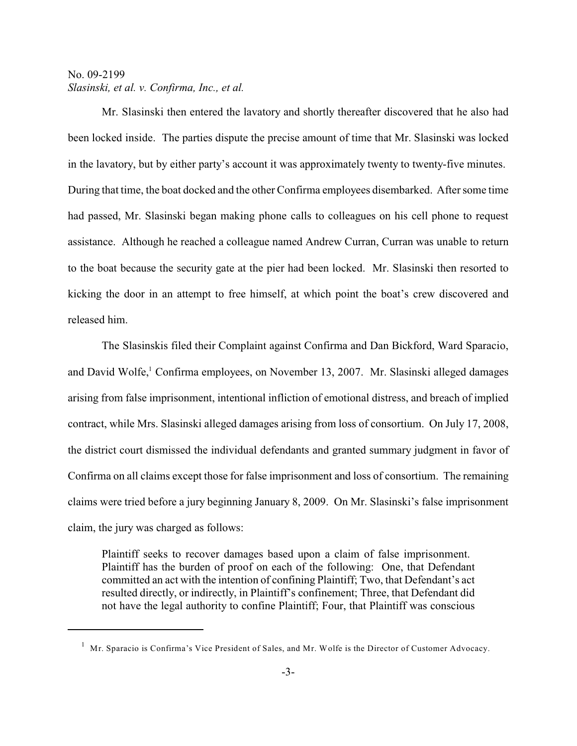Mr. Slasinski then entered the lavatory and shortly thereafter discovered that he also had been locked inside. The parties dispute the precise amount of time that Mr. Slasinski was locked in the lavatory, but by either party's account it was approximately twenty to twenty-five minutes. During that time, the boat docked and the other Confirma employees disembarked. After some time had passed, Mr. Slasinski began making phone calls to colleagues on his cell phone to request assistance. Although he reached a colleague named Andrew Curran, Curran was unable to return to the boat because the security gate at the pier had been locked. Mr. Slasinski then resorted to kicking the door in an attempt to free himself, at which point the boat's crew discovered and released him.

The Slasinskis filed their Complaint against Confirma and Dan Bickford, Ward Sparacio, and David Wolfe,<sup>1</sup> Confirma employees, on November 13, 2007. Mr. Slasinski alleged damages arising from false imprisonment, intentional infliction of emotional distress, and breach of implied contract, while Mrs. Slasinski alleged damages arising from loss of consortium. On July 17, 2008, the district court dismissed the individual defendants and granted summary judgment in favor of Confirma on all claims except those for false imprisonment and loss of consortium. The remaining claims were tried before a jury beginning January 8, 2009. On Mr. Slasinski's false imprisonment claim, the jury was charged as follows:

Plaintiff seeks to recover damages based upon a claim of false imprisonment. Plaintiff has the burden of proof on each of the following: One, that Defendant committed an act with the intention of confining Plaintiff; Two, that Defendant's act resulted directly, or indirectly, in Plaintiff's confinement; Three, that Defendant did not have the legal authority to confine Plaintiff; Four, that Plaintiff was conscious

 $1$  Mr. Sparacio is Confirma's Vice President of Sales, and Mr. Wolfe is the Director of Customer Advocacy.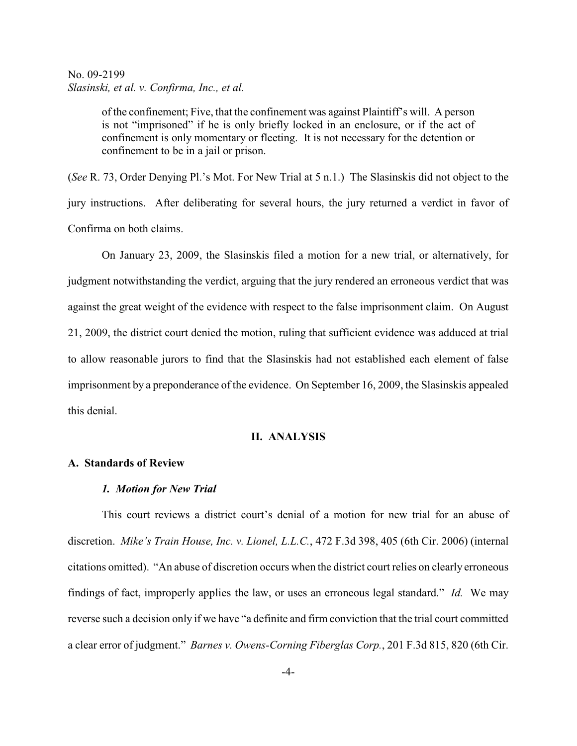of the confinement; Five, that the confinement was against Plaintiff's will. A person is not "imprisoned" if he is only briefly locked in an enclosure, or if the act of confinement is only momentary or fleeting. It is not necessary for the detention or confinement to be in a jail or prison.

(*See* R. 73, Order Denying Pl.'s Mot. For New Trial at 5 n.1.) The Slasinskis did not object to the jury instructions. After deliberating for several hours, the jury returned a verdict in favor of Confirma on both claims.

On January 23, 2009, the Slasinskis filed a motion for a new trial, or alternatively, for judgment notwithstanding the verdict, arguing that the jury rendered an erroneous verdict that was against the great weight of the evidence with respect to the false imprisonment claim. On August 21, 2009, the district court denied the motion, ruling that sufficient evidence was adduced at trial to allow reasonable jurors to find that the Slasinskis had not established each element of false imprisonment by a preponderance of the evidence. On September 16, 2009, the Slasinskis appealed this denial.

## **II. ANALYSIS**

## **A. Standards of Review**

#### *1. Motion for New Trial*

This court reviews a district court's denial of a motion for new trial for an abuse of discretion. *Mike's Train House, Inc. v. Lionel, L.L.C.*, 472 F.3d 398, 405 (6th Cir. 2006) (internal citations omitted). "An abuse of discretion occurs when the district court relies on clearly erroneous findings of fact, improperly applies the law, or uses an erroneous legal standard." *Id.* We may reverse such a decision only if we have "a definite and firm conviction that the trial court committed a clear error of judgment." *Barnes v. Owens-Corning Fiberglas Corp.*, 201 F.3d 815, 820 (6th Cir.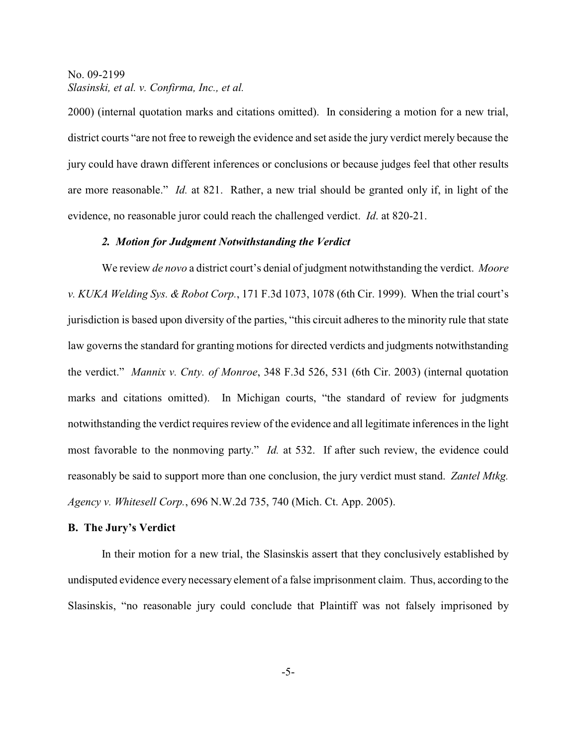2000) (internal quotation marks and citations omitted). In considering a motion for a new trial, district courts "are not free to reweigh the evidence and set aside the jury verdict merely because the jury could have drawn different inferences or conclusions or because judges feel that other results are more reasonable." *Id.* at 821. Rather, a new trial should be granted only if, in light of the evidence, no reasonable juror could reach the challenged verdict. *Id*. at 820-21.

## *2. Motion for Judgment Notwithstanding the Verdict*

We review *de novo* a district court's denial of judgment notwithstanding the verdict. *Moore v. KUKA Welding Sys. & Robot Corp.*, 171 F.3d 1073, 1078 (6th Cir. 1999). When the trial court's jurisdiction is based upon diversity of the parties, "this circuit adheres to the minority rule that state law governs the standard for granting motions for directed verdicts and judgments notwithstanding the verdict." *Mannix v. Cnty. of Monroe*, 348 F.3d 526, 531 (6th Cir. 2003) (internal quotation marks and citations omitted). In Michigan courts, "the standard of review for judgments notwithstanding the verdict requires review of the evidence and all legitimate inferences in the light most favorable to the nonmoving party." *Id.* at 532. If after such review, the evidence could reasonably be said to support more than one conclusion, the jury verdict must stand. *Zantel Mtkg. Agency v. Whitesell Corp.*, 696 N.W.2d 735, 740 (Mich. Ct. App. 2005).

#### **B. The Jury's Verdict**

In their motion for a new trial, the Slasinskis assert that they conclusively established by undisputed evidence every necessary element of a false imprisonment claim. Thus, according to the Slasinskis, "no reasonable jury could conclude that Plaintiff was not falsely imprisoned by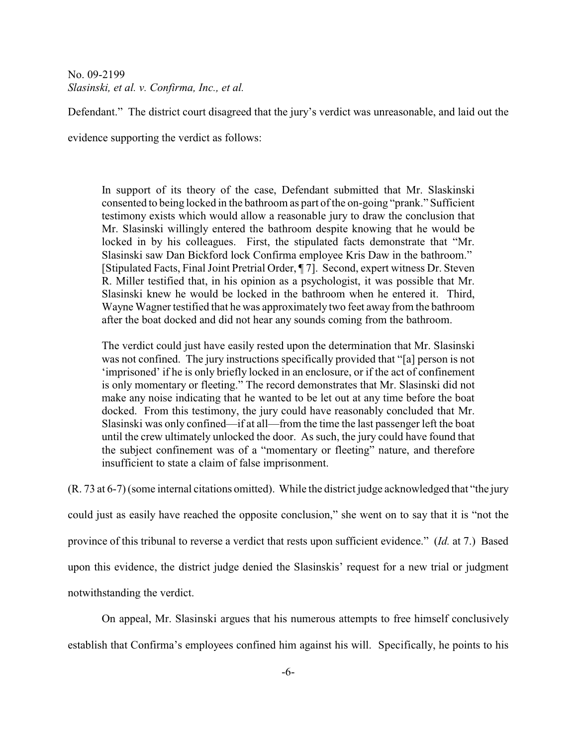Defendant." The district court disagreed that the jury's verdict was unreasonable, and laid out the

evidence supporting the verdict as follows:

In support of its theory of the case, Defendant submitted that Mr. Slaskinski consented to being locked in the bathroom as part of the on-going "prank." Sufficient testimony exists which would allow a reasonable jury to draw the conclusion that Mr. Slasinski willingly entered the bathroom despite knowing that he would be locked in by his colleagues. First, the stipulated facts demonstrate that "Mr. Slasinski saw Dan Bickford lock Confirma employee Kris Daw in the bathroom." [Stipulated Facts, Final Joint Pretrial Order, ¶ 7]. Second, expert witness Dr. Steven R. Miller testified that, in his opinion as a psychologist, it was possible that Mr. Slasinski knew he would be locked in the bathroom when he entered it. Third, Wayne Wagner testified that he was approximately two feet away from the bathroom after the boat docked and did not hear any sounds coming from the bathroom.

The verdict could just have easily rested upon the determination that Mr. Slasinski was not confined. The jury instructions specifically provided that "[a] person is not 'imprisoned' if he is only briefly locked in an enclosure, or if the act of confinement is only momentary or fleeting." The record demonstrates that Mr. Slasinski did not make any noise indicating that he wanted to be let out at any time before the boat docked. From this testimony, the jury could have reasonably concluded that Mr. Slasinski was only confined—if at all—from the time the last passenger left the boat until the crew ultimately unlocked the door. As such, the jury could have found that the subject confinement was of a "momentary or fleeting" nature, and therefore insufficient to state a claim of false imprisonment.

(R. 73 at 6-7) (some internal citations omitted). While the district judge acknowledged that "the jury could just as easily have reached the opposite conclusion," she went on to say that it is "not the province of this tribunal to reverse a verdict that rests upon sufficient evidence." (*Id.* at 7.) Based upon this evidence, the district judge denied the Slasinskis' request for a new trial or judgment notwithstanding the verdict.

On appeal, Mr. Slasinski argues that his numerous attempts to free himself conclusively establish that Confirma's employees confined him against his will. Specifically, he points to his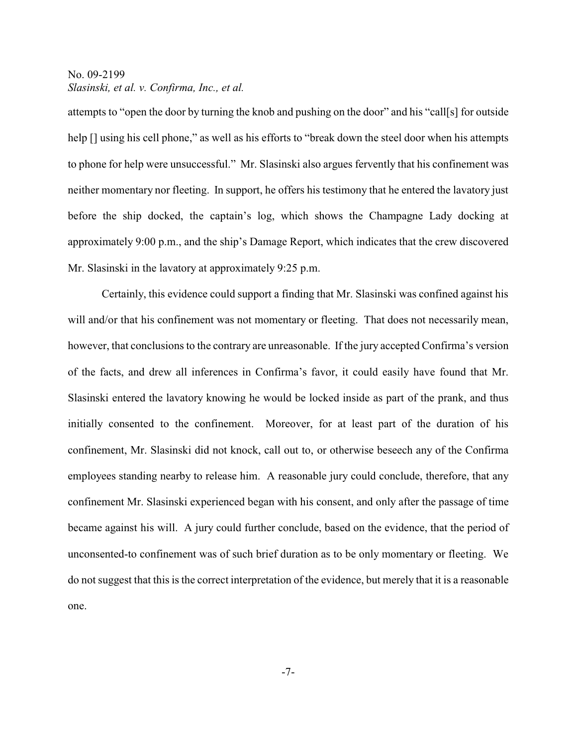attempts to "open the door by turning the knob and pushing on the door" and his "call[s] for outside help  $\lceil \cdot \rceil$  using his cell phone," as well as his efforts to "break down the steel door when his attempts to phone for help were unsuccessful." Mr. Slasinski also argues fervently that his confinement was neither momentary nor fleeting. In support, he offers his testimony that he entered the lavatory just before the ship docked, the captain's log, which shows the Champagne Lady docking at approximately 9:00 p.m., and the ship's Damage Report, which indicates that the crew discovered Mr. Slasinski in the lavatory at approximately 9:25 p.m.

Certainly, this evidence could support a finding that Mr. Slasinski was confined against his will and/or that his confinement was not momentary or fleeting. That does not necessarily mean, however, that conclusions to the contrary are unreasonable. If the jury accepted Confirma's version of the facts, and drew all inferences in Confirma's favor, it could easily have found that Mr. Slasinski entered the lavatory knowing he would be locked inside as part of the prank, and thus initially consented to the confinement. Moreover, for at least part of the duration of his confinement, Mr. Slasinski did not knock, call out to, or otherwise beseech any of the Confirma employees standing nearby to release him. A reasonable jury could conclude, therefore, that any confinement Mr. Slasinski experienced began with his consent, and only after the passage of time became against his will. A jury could further conclude, based on the evidence, that the period of unconsented-to confinement was of such brief duration as to be only momentary or fleeting. We do not suggest that this is the correct interpretation of the evidence, but merely that it is a reasonable one.